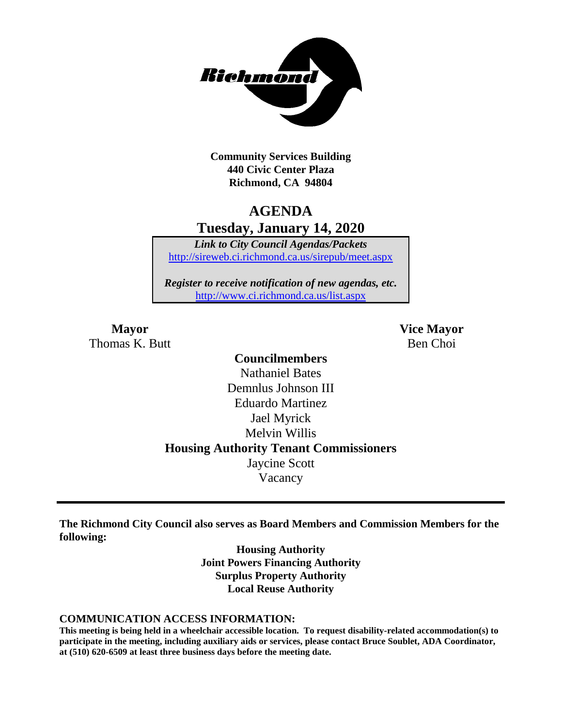

**Community Services Building 440 Civic Center Plaza Richmond, CA 94804**

# **AGENDA Tuesday, January 14, 2020**

*Link to City Council Agendas/Packets* <http://sireweb.ci.richmond.ca.us/sirepub/meet.aspx>

*Register to receive notification of new agendas, etc.* <http://www.ci.richmond.ca.us/list.aspx>

**Mayor Vice Mayor** Thomas K. Butt Ben Choi

### **Councilmembers** Nathaniel Bates Demnlus Johnson III Eduardo Martinez Jael Myrick Melvin Willis **Housing Authority Tenant Commissioners** Jaycine Scott Vacancy

**The Richmond City Council also serves as Board Members and Commission Members for the following:**

> **Housing Authority Joint Powers Financing Authority Surplus Property Authority Local Reuse Authority**

#### **COMMUNICATION ACCESS INFORMATION:**

**This meeting is being held in a wheelchair accessible location. To request disability-related accommodation(s) to participate in the meeting, including auxiliary aids or services, please contact Bruce Soublet, ADA Coordinator, at (510) 620-6509 at least three business days before the meeting date.**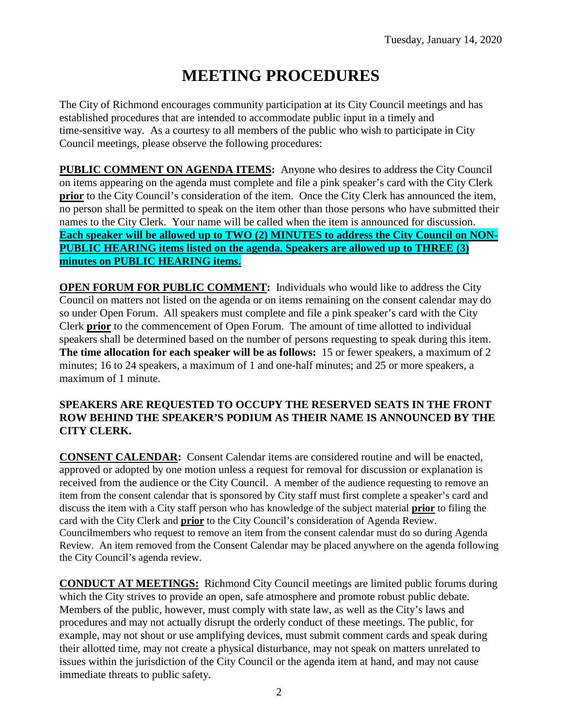# **MEETING PROCEDURES**

The City of Richmond encourages community participation at its City Council meetings and has established procedures that are intended to accommodate public input in a timely and time-sensitive way. As a courtesy to all members of the public who wish to participate in City Council meetings, please observe the following procedures:

**PUBLIC COMMENT ON AGENDA ITEMS:** Anyone who desires to address the City Council on items appearing on the agenda must complete and file a pink speaker's card with the City Clerk **prior** to the City Council's consideration of the item. Once the City Clerk has announced the item, no person shall be permitted to speak on the item other than those persons who have submitted their names to the City Clerk. Your name will be called when the item is announced for discussion. **Each speaker will be allowed up to TWO (2) MINUTES to address the City Council on NON-PUBLIC HEARING items listed on the agenda. Speakers are allowed up to THREE (3) minutes on PUBLIC HEARING items.**

**OPEN FORUM FOR PUBLIC COMMENT:** Individuals who would like to address the City Council on matters not listed on the agenda or on items remaining on the consent calendar may do so under Open Forum. All speakers must complete and file a pink speaker's card with the City Clerk **prior** to the commencement of Open Forum. The amount of time allotted to individual speakers shall be determined based on the number of persons requesting to speak during this item. **The time allocation for each speaker will be as follows:** 15 or fewer speakers, a maximum of 2 minutes; 16 to 24 speakers, a maximum of 1 and one-half minutes; and 25 or more speakers, a maximum of 1 minute.

### **SPEAKERS ARE REQUESTED TO OCCUPY THE RESERVED SEATS IN THE FRONT ROW BEHIND THE SPEAKER'S PODIUM AS THEIR NAME IS ANNOUNCED BY THE CITY CLERK.**

**CONSENT CALENDAR:** Consent Calendar items are considered routine and will be enacted, approved or adopted by one motion unless a request for removal for discussion or explanation is received from the audience or the City Council. A member of the audience requesting to remove an item from the consent calendar that is sponsored by City staff must first complete a speaker's card and discuss the item with a City staff person who has knowledge of the subject material **prior** to filing the card with the City Clerk and **prior** to the City Council's consideration of Agenda Review. Councilmembers who request to remove an item from the consent calendar must do so during Agenda Review. An item removed from the Consent Calendar may be placed anywhere on the agenda following the City Council's agenda review.

**CONDUCT AT MEETINGS:** Richmond City Council meetings are limited public forums during which the City strives to provide an open, safe atmosphere and promote robust public debate. Members of the public, however, must comply with state law, as well as the City's laws and procedures and may not actually disrupt the orderly conduct of these meetings. The public, for example, may not shout or use amplifying devices, must submit comment cards and speak during their allotted time, may not create a physical disturbance, may not speak on matters unrelated to issues within the jurisdiction of the City Council or the agenda item at hand, and may not cause immediate threats to public safety.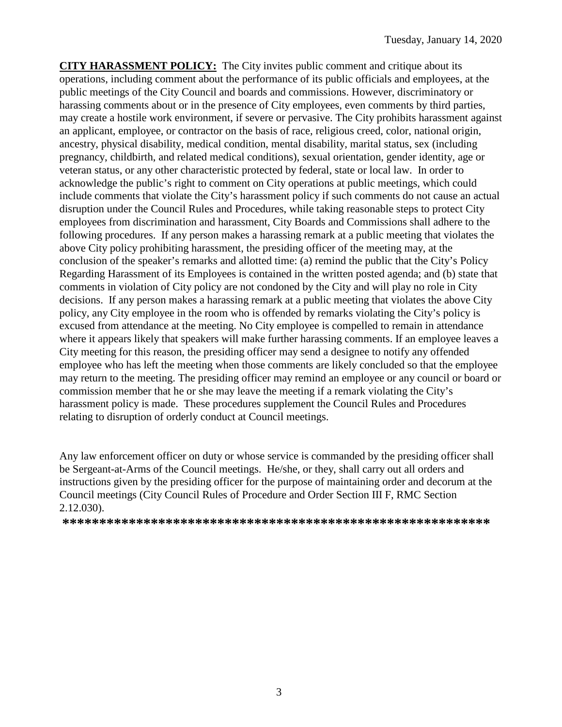**CITY HARASSMENT POLICY:** The City invites public comment and critique about its operations, including comment about the performance of its public officials and employees, at the public meetings of the City Council and boards and commissions. However, discriminatory or harassing comments about or in the presence of City employees, even comments by third parties, may create a hostile work environment, if severe or pervasive. The City prohibits harassment against an applicant, employee, or contractor on the basis of race, religious creed, color, national origin, ancestry, physical disability, medical condition, mental disability, marital status, sex (including pregnancy, childbirth, and related medical conditions), sexual orientation, gender identity, age or veteran status, or any other characteristic protected by federal, state or local law. In order to acknowledge the public's right to comment on City operations at public meetings, which could include comments that violate the City's harassment policy if such comments do not cause an actual disruption under the Council Rules and Procedures, while taking reasonable steps to protect City employees from discrimination and harassment, City Boards and Commissions shall adhere to the following procedures. If any person makes a harassing remark at a public meeting that violates the above City policy prohibiting harassment, the presiding officer of the meeting may, at the conclusion of the speaker's remarks and allotted time: (a) remind the public that the City's Policy Regarding Harassment of its Employees is contained in the written posted agenda; and (b) state that comments in violation of City policy are not condoned by the City and will play no role in City decisions. If any person makes a harassing remark at a public meeting that violates the above City policy, any City employee in the room who is offended by remarks violating the City's policy is excused from attendance at the meeting. No City employee is compelled to remain in attendance where it appears likely that speakers will make further harassing comments. If an employee leaves a City meeting for this reason, the presiding officer may send a designee to notify any offended employee who has left the meeting when those comments are likely concluded so that the employee may return to the meeting. The presiding officer may remind an employee or any council or board or commission member that he or she may leave the meeting if a remark violating the City's harassment policy is made. These procedures supplement the Council Rules and Procedures relating to disruption of orderly conduct at Council meetings.

Any law enforcement officer on duty or whose service is commanded by the presiding officer shall be Sergeant-at-Arms of the Council meetings. He/she, or they, shall carry out all orders and instructions given by the presiding officer for the purpose of maintaining order and decorum at the Council meetings (City Council Rules of Procedure and Order Section III F, RMC Section 2.12.030).

**\*\*\*\*\*\*\*\*\*\*\*\*\*\*\*\*\*\*\*\*\*\*\*\*\*\*\*\*\*\*\*\*\*\*\*\*\*\*\*\*\*\*\*\*\*\*\*\*\*\*\*\*\*\*\*\*\*\***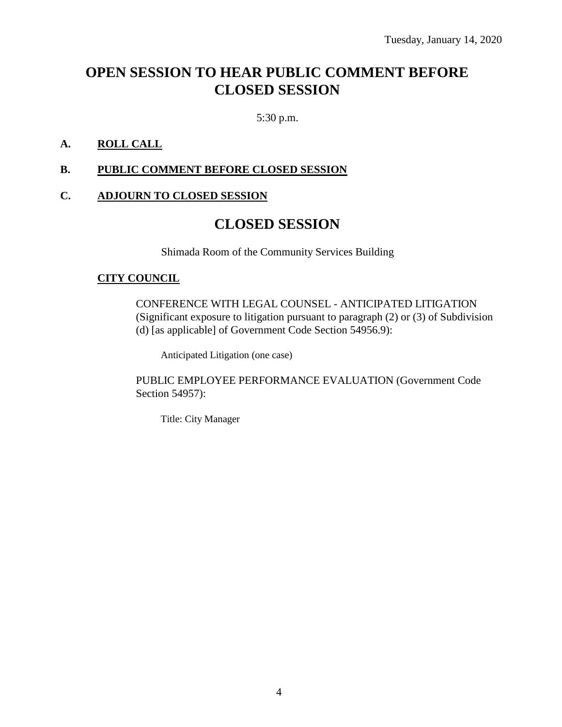# **OPEN SESSION TO HEAR PUBLIC COMMENT BEFORE CLOSED SESSION**

5:30 p.m.

### **A. ROLL CALL**

### **B. PUBLIC COMMENT BEFORE CLOSED SESSION**

### **C. ADJOURN TO CLOSED SESSION**

### **CLOSED SESSION**

Shimada Room of the Community Services Building

#### **CITY COUNCIL**

CONFERENCE WITH LEGAL COUNSEL - ANTICIPATED LITIGATION (Significant exposure to litigation pursuant to paragraph (2) or (3) of Subdivision (d) [as applicable] of Government Code Section 54956.9):

Anticipated Litigation (one case)

PUBLIC EMPLOYEE PERFORMANCE EVALUATION (Government Code Section 54957):

Title: City Manager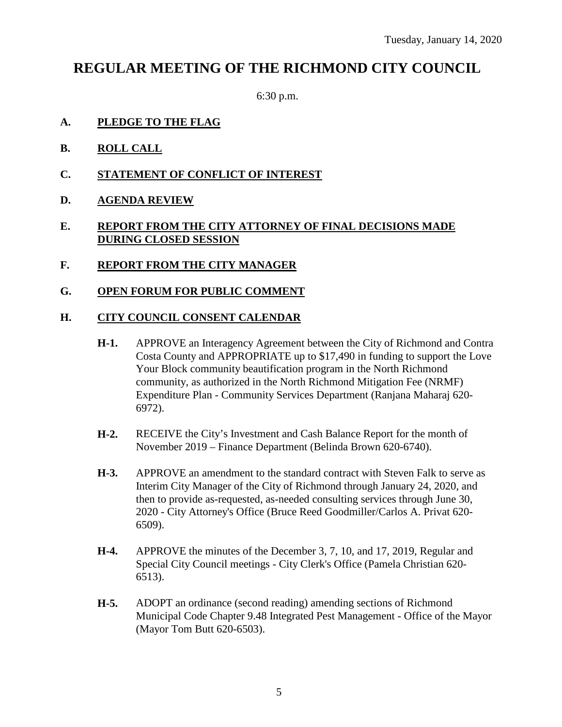## **REGULAR MEETING OF THE RICHMOND CITY COUNCIL**

6:30 p.m.

- **A. PLEDGE TO THE FLAG**
- **B. ROLL CALL**
- **C. STATEMENT OF CONFLICT OF INTEREST**
- **D. AGENDA REVIEW**

### **E. REPORT FROM THE CITY ATTORNEY OF FINAL DECISIONS MADE DURING CLOSED SESSION**

- **F. REPORT FROM THE CITY MANAGER**
- **G. OPEN FORUM FOR PUBLIC COMMENT**

### **H. CITY COUNCIL CONSENT CALENDAR**

- **H-1.** APPROVE an Interagency Agreement between the City of Richmond and Contra Costa County and APPROPRIATE up to \$17,490 in funding to support the Love Your Block community beautification program in the North Richmond community, as authorized in the North Richmond Mitigation Fee (NRMF) Expenditure Plan - Community Services Department (Ranjana Maharaj 620- 6972).
- **H-2.** RECEIVE the City's Investment and Cash Balance Report for the month of November 2019 – Finance Department (Belinda Brown 620-6740).
- **H-3.** APPROVE an amendment to the standard contract with Steven Falk to serve as Interim City Manager of the City of Richmond through January 24, 2020, and then to provide as-requested, as-needed consulting services through June 30, 2020 - City Attorney's Office (Bruce Reed Goodmiller/Carlos A. Privat 620- 6509).
- **H-4.** APPROVE the minutes of the December 3, 7, 10, and 17, 2019, Regular and Special City Council meetings - City Clerk's Office (Pamela Christian 620- 6513).
- **H-5.** ADOPT an ordinance (second reading) amending sections of Richmond Municipal Code Chapter 9.48 Integrated Pest Management - Office of the Mayor (Mayor Tom Butt 620-6503).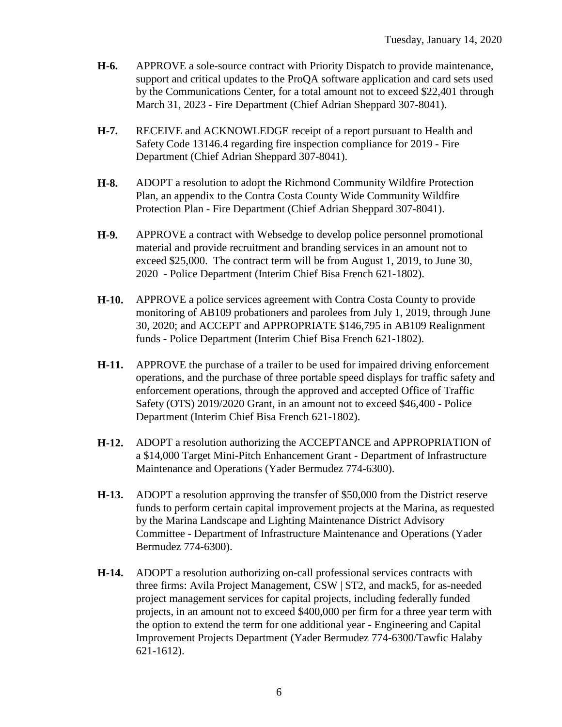- **H-6.** APPROVE a sole-source contract with Priority Dispatch to provide maintenance, support and critical updates to the ProQA software application and card sets used by the Communications Center, for a total amount not to exceed \$22,401 through March 31, 2023 - Fire Department (Chief Adrian Sheppard 307-8041).
- **H-7.** RECEIVE and ACKNOWLEDGE receipt of a report pursuant to Health and Safety Code 13146.4 regarding fire inspection compliance for 2019 - Fire Department (Chief Adrian Sheppard 307-8041).
- **H-8.** ADOPT a resolution to adopt the Richmond Community Wildfire Protection Plan, an appendix to the Contra Costa County Wide Community Wildfire Protection Plan - Fire Department (Chief Adrian Sheppard 307-8041).
- **H-9.** APPROVE a contract with Websedge to develop police personnel promotional material and provide recruitment and branding services in an amount not to exceed \$25,000. The contract term will be from August 1, 2019, to June 30, 2020 - Police Department (Interim Chief Bisa French 621-1802).
- **H-10.** APPROVE a police services agreement with Contra Costa County to provide monitoring of AB109 probationers and parolees from July 1, 2019, through June 30, 2020; and ACCEPT and APPROPRIATE \$146,795 in AB109 Realignment funds - Police Department (Interim Chief Bisa French 621-1802).
- **H-11.** APPROVE the purchase of a trailer to be used for impaired driving enforcement operations, and the purchase of three portable speed displays for traffic safety and enforcement operations, through the approved and accepted Office of Traffic Safety (OTS) 2019/2020 Grant, in an amount not to exceed \$46,400 - Police Department (Interim Chief Bisa French 621-1802).
- **H-12.** ADOPT a resolution authorizing the ACCEPTANCE and APPROPRIATION of a \$14,000 Target Mini-Pitch Enhancement Grant - Department of Infrastructure Maintenance and Operations (Yader Bermudez 774-6300).
- **H-13.** ADOPT a resolution approving the transfer of \$50,000 from the District reserve funds to perform certain capital improvement projects at the Marina, as requested by the Marina Landscape and Lighting Maintenance District Advisory Committee - Department of Infrastructure Maintenance and Operations (Yader Bermudez 774-6300).
- **H-14.** ADOPT a resolution authorizing on-call professional services contracts with three firms: Avila Project Management, CSW | ST2, and mack5, for as-needed project management services for capital projects, including federally funded projects, in an amount not to exceed \$400,000 per firm for a three year term with the option to extend the term for one additional year - Engineering and Capital Improvement Projects Department (Yader Bermudez 774-6300/Tawfic Halaby 621-1612).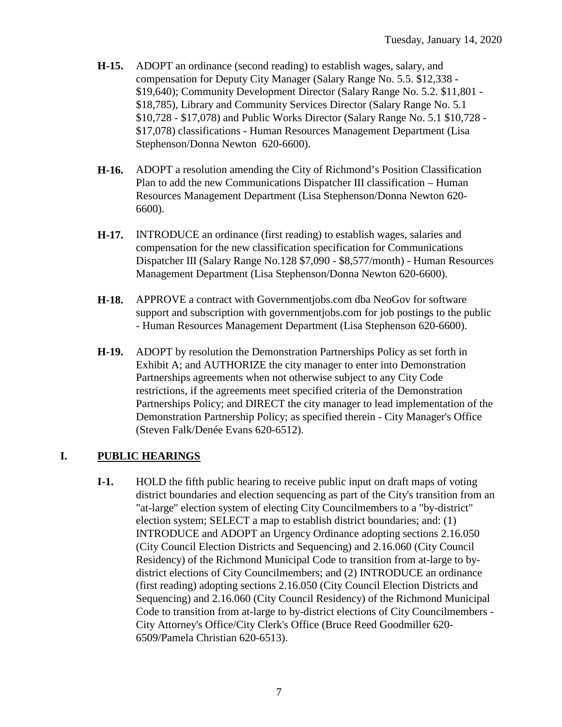- **H-15.** ADOPT an ordinance (second reading) to establish wages, salary, and compensation for Deputy City Manager (Salary Range No. 5.5. \$12,338 - \$19,640); Community Development Director (Salary Range No. 5.2. \$11,801 - \$18,785), Library and Community Services Director (Salary Range No. 5.1 \$10,728 - \$17,078) and Public Works Director (Salary Range No. 5.1 \$10,728 - \$17,078) classifications - Human Resources Management Department (Lisa Stephenson/Donna Newton 620-6600).
- **H-16.** ADOPT a resolution amending the City of Richmond's Position Classification Plan to add the new Communications Dispatcher III classification – Human Resources Management Department (Lisa Stephenson/Donna Newton 620- 6600).
- **H-17.** INTRODUCE an ordinance (first reading) to establish wages, salaries and compensation for the new classification specification for Communications Dispatcher III (Salary Range No.128 \$7,090 - \$8,577/month) - Human Resources Management Department (Lisa Stephenson/Donna Newton 620-6600).
- **H-18.** APPROVE a contract with Governmentjobs.com dba NeoGov for software support and subscription with governmentjobs.com for job postings to the public - Human Resources Management Department (Lisa Stephenson 620-6600).
- **H-19.** ADOPT by resolution the Demonstration Partnerships Policy as set forth in Exhibit A; and AUTHORIZE the city manager to enter into Demonstration Partnerships agreements when not otherwise subject to any City Code restrictions, if the agreements meet specified criteria of the Demonstration Partnerships Policy; and DIRECT the city manager to lead implementation of the Demonstration Partnership Policy; as specified therein - City Manager's Office (Steven Falk/Denée Evans 620-6512).

### **I. PUBLIC HEARINGS**

**I-1.** HOLD the fifth public hearing to receive public input on draft maps of voting district boundaries and election sequencing as part of the City's transition from an "at-large" election system of electing City Councilmembers to a "by-district" election system; SELECT a map to establish district boundaries; and: (1) INTRODUCE and ADOPT an Urgency Ordinance adopting sections 2.16.050 (City Council Election Districts and Sequencing) and 2.16.060 (City Council Residency) of the Richmond Municipal Code to transition from at-large to bydistrict elections of City Councilmembers; and (2) INTRODUCE an ordinance (first reading) adopting sections 2.16.050 (City Council Election Districts and Sequencing) and 2.16.060 (City Council Residency) of the Richmond Municipal Code to transition from at-large to by-district elections of City Councilmembers - City Attorney's Office/City Clerk's Office (Bruce Reed Goodmiller 620- 6509/Pamela Christian 620-6513).